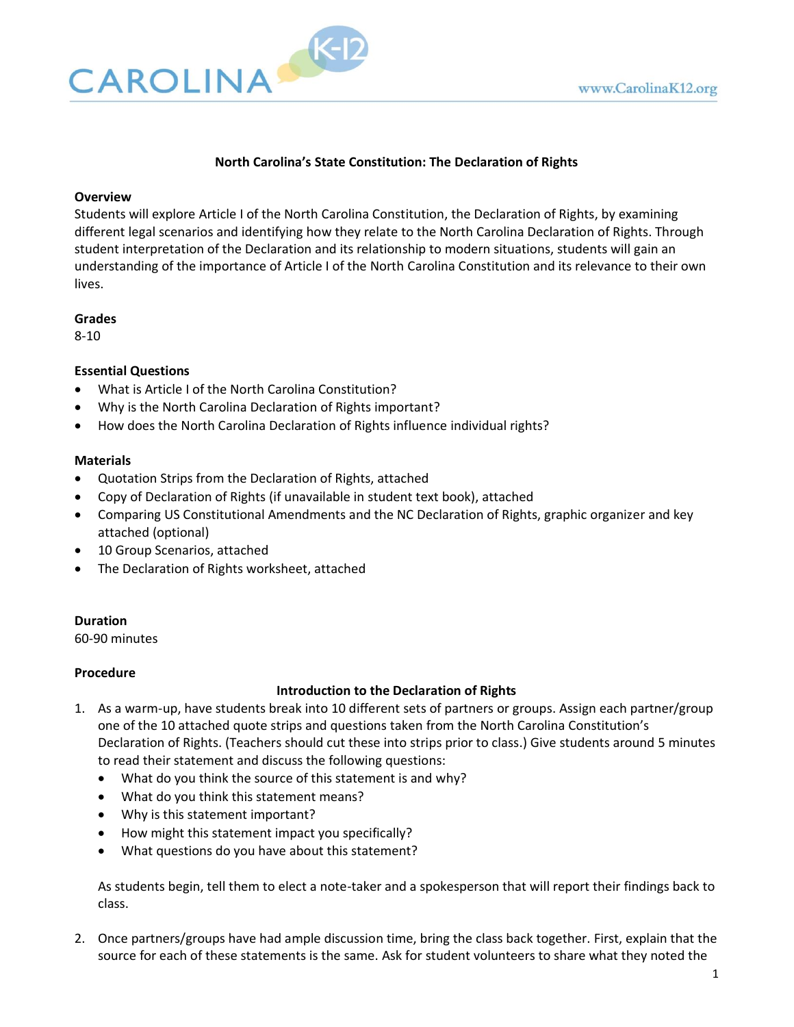

## **North Carolina's State Constitution: The Declaration of Rights**

### **Overview**

Students will explore Article I of the North Carolina Constitution, the Declaration of Rights, by examining different legal scenarios and identifying how they relate to the North Carolina Declaration of Rights. Through student interpretation of the Declaration and its relationship to modern situations, students will gain an understanding of the importance of Article I of the North Carolina Constitution and its relevance to their own lives.

### **Grades**

8-10

## **Essential Questions**

- What is Article I of the North Carolina Constitution?
- Why is the North Carolina Declaration of Rights important?
- How does the North Carolina Declaration of Rights influence individual rights?

### **Materials**

- Quotation Strips from the Declaration of Rights, attached
- Copy of Declaration of Rights (if unavailable in student text book), attached
- Comparing US Constitutional Amendments and the NC Declaration of Rights, graphic organizer and key attached (optional)
- 10 Group Scenarios, attached
- The Declaration of Rights worksheet, attached

## **Duration**

60-90 minutes

## **Procedure**

## **Introduction to the Declaration of Rights**

- 1. As a warm-up, have students break into 10 different sets of partners or groups. Assign each partner/group one of the 10 attached quote strips and questions taken from the North Carolina Constitution's Declaration of Rights. (Teachers should cut these into strips prior to class.) Give students around 5 minutes to read their statement and discuss the following questions:
	- What do you think the source of this statement is and why?
	- What do you think this statement means?
	- Why is this statement important?
	- How might this statement impact you specifically?
	- What questions do you have about this statement?

As students begin, tell them to elect a note-taker and a spokesperson that will report their findings back to class.

2. Once partners/groups have had ample discussion time, bring the class back together. First, explain that the source for each of these statements is the same. Ask for student volunteers to share what they noted the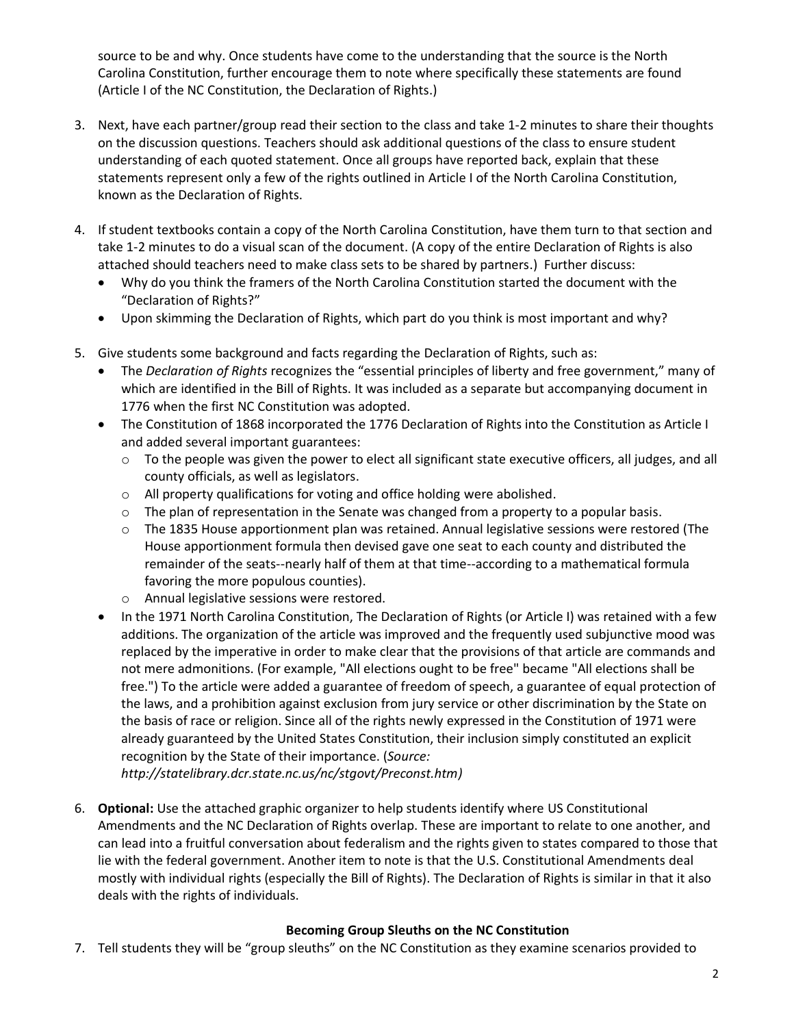source to be and why. Once students have come to the understanding that the source is the North Carolina Constitution, further encourage them to note where specifically these statements are found (Article I of the NC Constitution, the Declaration of Rights.)

- 3. Next, have each partner/group read their section to the class and take 1-2 minutes to share their thoughts on the discussion questions. Teachers should ask additional questions of the class to ensure student understanding of each quoted statement. Once all groups have reported back, explain that these statements represent only a few of the rights outlined in Article I of the North Carolina Constitution, known as the Declaration of Rights.
- 4. If student textbooks contain a copy of the North Carolina Constitution, have them turn to that section and take 1-2 minutes to do a visual scan of the document. (A copy of the entire Declaration of Rights is also attached should teachers need to make class sets to be shared by partners.) Further discuss:
	- Why do you think the framers of the North Carolina Constitution started the document with the "Declaration of Rights?"
	- Upon skimming the Declaration of Rights, which part do you think is most important and why?
- 5. Give students some background and facts regarding the Declaration of Rights, such as:
	- The *Declaration of Rights* recognizes the "essential principles of liberty and free government," many of which are identified in the Bill of Rights. It was included as a separate but accompanying document in 1776 when the first NC Constitution was adopted.
	- The Constitution of 1868 incorporated the 1776 Declaration of Rights into the Constitution as Article I and added several important guarantees:
		- $\circ$  To the people was given the power to elect all significant state executive officers, all judges, and all county officials, as well as legislators.
		- o All property qualifications for voting and office holding were abolished.
		- $\circ$  The plan of representation in the Senate was changed from a property to a popular basis.
		- o The 1835 House apportionment plan was retained. Annual legislative sessions were restored (The House apportionment formula then devised gave one seat to each county and distributed the remainder of the seats--nearly half of them at that time--according to a mathematical formula favoring the more populous counties).
		- o Annual legislative sessions were restored.
	- In the 1971 North Carolina Constitution, The Declaration of Rights (or Article I) was retained with a few additions. The organization of the article was improved and the frequently used subjunctive mood was replaced by the imperative in order to make clear that the provisions of that article are commands and not mere admonitions. (For example, "All elections ought to be free" became "All elections shall be free.") To the article were added a guarantee of freedom of speech, a guarantee of equal protection of the laws, and a prohibition against exclusion from jury service or other discrimination by the State on the basis of race or religion. Since all of the rights newly expressed in the Constitution of 1971 were already guaranteed by the United States Constitution, their inclusion simply constituted an explicit recognition by the State of their importance. (*Source:*

*http://statelibrary.dcr.state.nc.us/nc/stgovt/Preconst.htm)*

6. **Optional:** Use the attached graphic organizer to help students identify where US Constitutional Amendments and the NC Declaration of Rights overlap. These are important to relate to one another, and can lead into a fruitful conversation about federalism and the rights given to states compared to those that lie with the federal government. Another item to note is that the U.S. Constitutional Amendments deal mostly with individual rights (especially the Bill of Rights). The Declaration of Rights is similar in that it also deals with the rights of individuals.

## **Becoming Group Sleuths on the NC Constitution**

7. Tell students they will be "group sleuths" on the NC Constitution as they examine scenarios provided to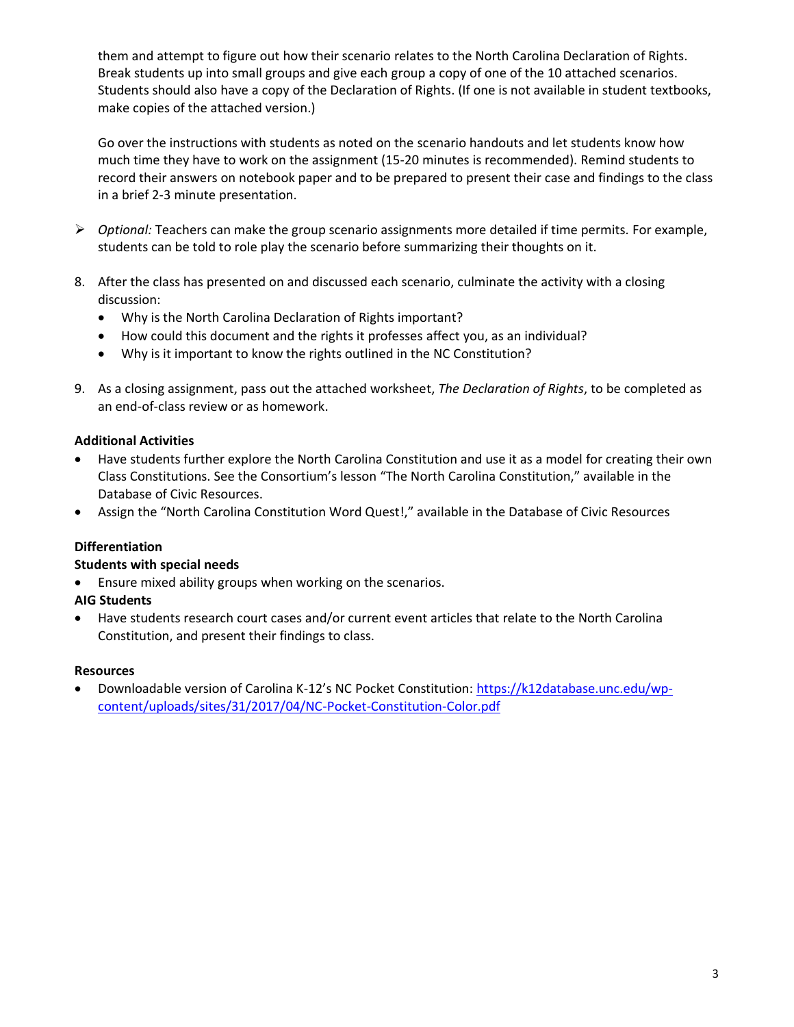them and attempt to figure out how their scenario relates to the North Carolina Declaration of Rights. Break students up into small groups and give each group a copy of one of the 10 attached scenarios. Students should also have a copy of the Declaration of Rights. (If one is not available in student textbooks, make copies of the attached version.)

Go over the instructions with students as noted on the scenario handouts and let students know how much time they have to work on the assignment (15-20 minutes is recommended). Remind students to record their answers on notebook paper and to be prepared to present their case and findings to the class in a brief 2-3 minute presentation.

- ➢ *Optional:* Teachers can make the group scenario assignments more detailed if time permits. For example, students can be told to role play the scenario before summarizing their thoughts on it.
- 8. After the class has presented on and discussed each scenario, culminate the activity with a closing discussion:
	- Why is the North Carolina Declaration of Rights important?
	- How could this document and the rights it professes affect you, as an individual?
	- Why is it important to know the rights outlined in the NC Constitution?
- 9. As a closing assignment, pass out the attached worksheet, *The Declaration of Rights*, to be completed as an end-of-class review or as homework.

## **Additional Activities**

- Have students further explore the North Carolina Constitution and use it as a model for creating their own Class Constitutions. See the Consortium's lesson "The North Carolina Constitution," available in the Database of Civic Resources.
- Assign the "North Carolina Constitution Word Quest!," available in the Database of Civic Resources

## **Differentiation**

## **Students with special needs**

• Ensure mixed ability groups when working on the scenarios.

**AIG Students**

• Have students research court cases and/or current event articles that relate to the North Carolina Constitution, and present their findings to class.

## **Resources**

• Downloadable version of Carolina K-12's NC Pocket Constitution: [https://k12database.unc.edu/wp](https://k12database.unc.edu/wp-content/uploads/sites/31/2017/04/NC-Pocket-Constitution-Color.pdf)[content/uploads/sites/31/2017/04/NC-Pocket-Constitution-Color.pdf](https://k12database.unc.edu/wp-content/uploads/sites/31/2017/04/NC-Pocket-Constitution-Color.pdf)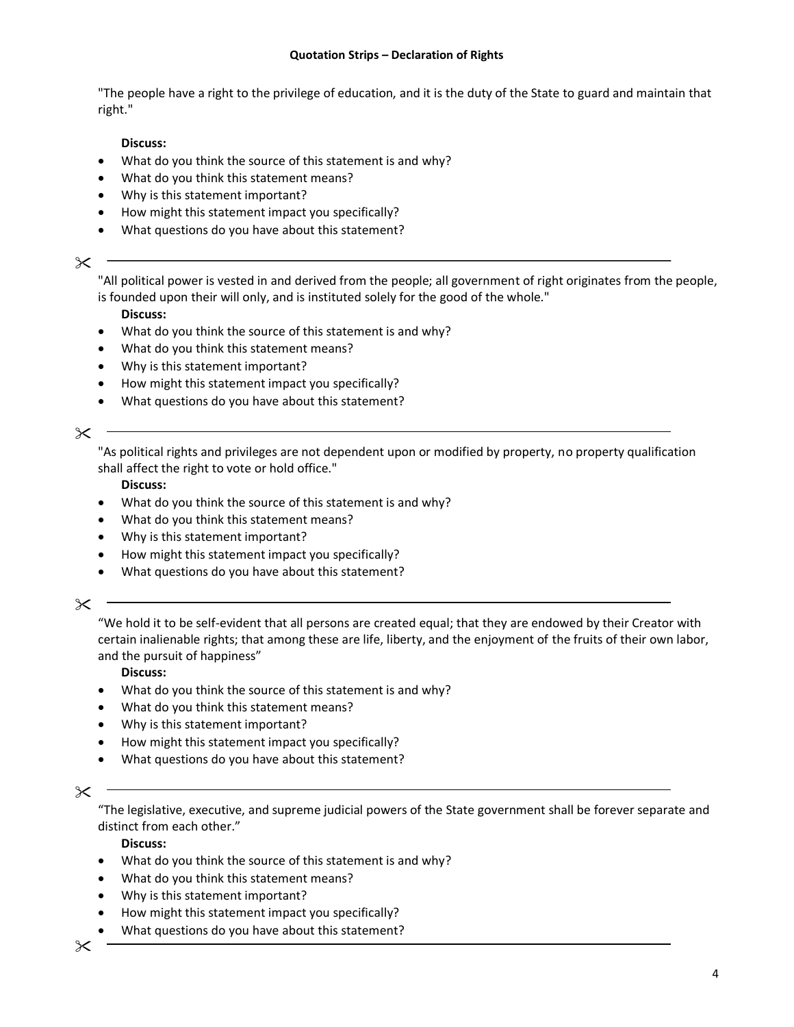#### **Quotation Strips – Declaration of Rights**

"The people have a right to the privilege of education, and it is the duty of the State to guard and maintain that right."

### **Discuss:**

- What do you think the source of this statement is and why?
- What do you think this statement means?
- Why is this statement important?
- How might this statement impact you specifically?
- What questions do you have about this statement?

#### $\times$

"All political power is vested in and derived from the people; all government of right originates from the people, is founded upon their will only, and is instituted solely for the good of the whole."

**Discuss:**

- What do you think the source of this statement is and why?
- What do you think this statement means?
- Why is this statement important?
- How might this statement impact you specifically?
- What questions do you have about this statement?

### $\times$

"As political rights and privileges are not dependent upon or modified by property, no property qualification shall affect the right to vote or hold office."

**Discuss:**

- What do you think the source of this statement is and why?
- What do you think this statement means?
- Why is this statement important?
- How might this statement impact you specifically?
- What questions do you have about this statement?

### $\times$

"We hold it to be self-evident that all persons are created equal; that they are endowed by their Creator with certain inalienable rights; that among these are life, liberty, and the enjoyment of the fruits of their own labor, and the pursuit of happiness"

**Discuss:**

- What do you think the source of this statement is and why?
- What do you think this statement means?
- Why is this statement important?
- How might this statement impact you specifically?
- What questions do you have about this statement?

## $\times$

"The legislative, executive, and supreme judicial powers of the State government shall be forever separate and distinct from each other."

**Discuss:**

- What do you think the source of this statement is and why?
- What do you think this statement means?
- Why is this statement important?
- How might this statement impact you specifically?
- What questions do you have about this statement?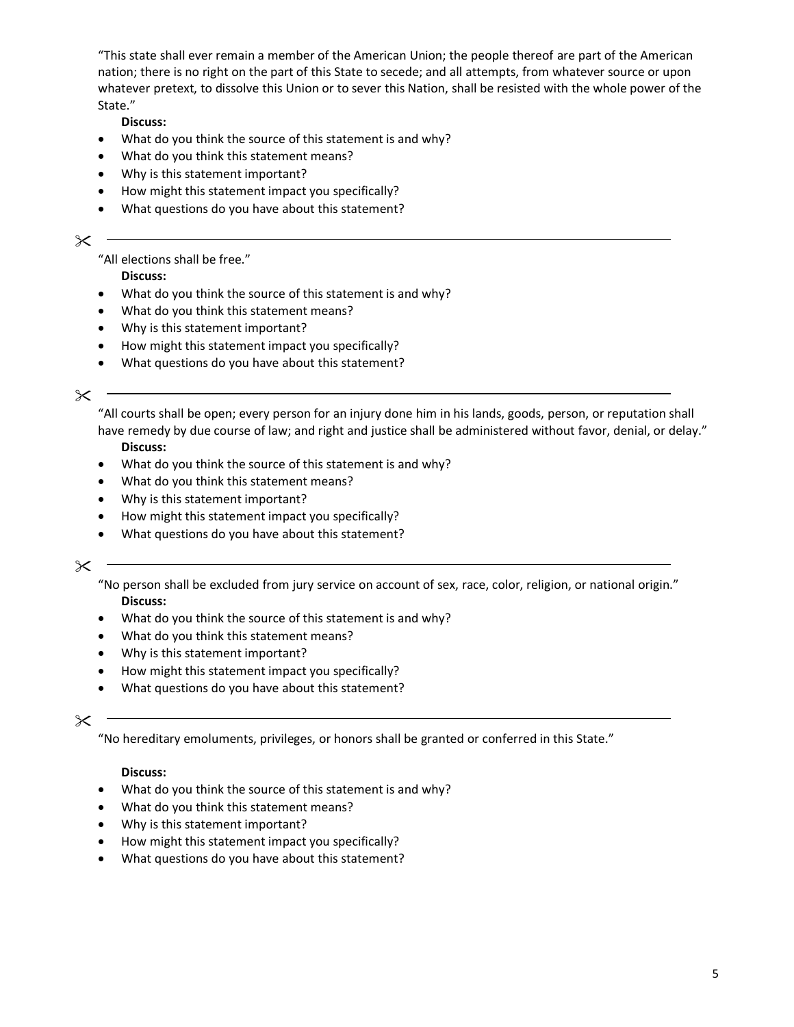"This state shall ever remain a member of the American Union; the people thereof are part of the American nation; there is no right on the part of this State to secede; and all attempts, from whatever source or upon whatever pretext, to dissolve this Union or to sever this Nation, shall be resisted with the whole power of the State."

### **Discuss:**

- What do you think the source of this statement is and why?
- What do you think this statement means?
- Why is this statement important?
- How might this statement impact you specifically?
- What questions do you have about this statement?

## $\times$

"All elections shall be free."

## **Discuss:**

- What do you think the source of this statement is and why?
- What do you think this statement means?
- Why is this statement important?
- How might this statement impact you specifically?
- What questions do you have about this statement?

### $\times$

"All courts shall be open; every person for an injury done him in his lands, goods, person, or reputation shall have remedy by due course of law; and right and justice shall be administered without favor, denial, or delay." **Discuss:**

- What do you think the source of this statement is and why?
- What do you think this statement means?
- Why is this statement important?
- How might this statement impact you specifically?
- What questions do you have about this statement?

#### $\times$

"No person shall be excluded from jury service on account of sex, race, color, religion, or national origin." **Discuss:**

- What do you think the source of this statement is and why?
- What do you think this statement means?
- Why is this statement important?
- How might this statement impact you specifically?
- What questions do you have about this statement?

## $\times$

"No hereditary emoluments, privileges, or honors shall be granted or conferred in this State."

## **Discuss:**

- What do you think the source of this statement is and why?
- What do you think this statement means?
- Why is this statement important?
- How might this statement impact you specifically?
- What questions do you have about this statement?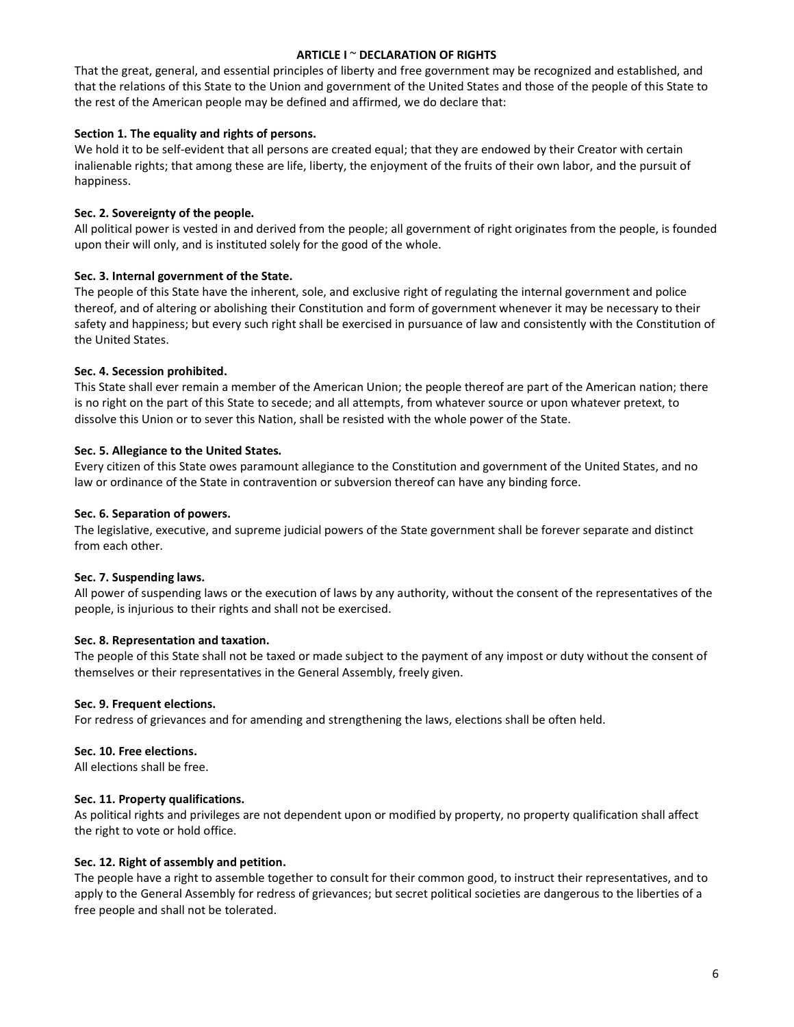#### **ARTICLE I** ~ **DECLARATION OF RIGHTS**

That the great, general, and essential principles of liberty and free government may be recognized and established, and that the relations of this State to the Union and government of the United States and those of the people of this State to the rest of the American people may be defined and affirmed, we do declare that:

#### **Section 1. The equality and rights of persons.**

We hold it to be self-evident that all persons are created equal; that they are endowed by their Creator with certain inalienable rights; that among these are life, liberty, the enjoyment of the fruits of their own labor, and the pursuit of happiness.

### **Sec. 2. Sovereignty of the people.**

All political power is vested in and derived from the people; all government of right originates from the people, is founded upon their will only, and is instituted solely for the good of the whole.

### **Sec. 3. Internal government of the State.**

The people of this State have the inherent, sole, and exclusive right of regulating the internal government and police thereof, and of altering or abolishing their Constitution and form of government whenever it may be necessary to their safety and happiness; but every such right shall be exercised in pursuance of law and consistently with the Constitution of the United States.

### **Sec. 4. Secession prohibited.**

This State shall ever remain a member of the American Union; the people thereof are part of the American nation; there is no right on the part of this State to secede; and all attempts, from whatever source or upon whatever pretext, to dissolve this Union or to sever this Nation, shall be resisted with the whole power of the State.

#### **Sec. 5. Allegiance to the United States.**

Every citizen of this State owes paramount allegiance to the Constitution and government of the United States, and no law or ordinance of the State in contravention or subversion thereof can have any binding force.

#### **Sec. 6. Separation of powers.**

The legislative, executive, and supreme judicial powers of the State government shall be forever separate and distinct from each other.

#### **Sec. 7. Suspending laws.**

All power of suspending laws or the execution of laws by any authority, without the consent of the representatives of the people, is injurious to their rights and shall not be exercised.

#### **Sec. 8. Representation and taxation.**

The people of this State shall not be taxed or made subject to the payment of any impost or duty without the consent of themselves or their representatives in the General Assembly, freely given.

#### **Sec. 9. Frequent elections.**

For redress of grievances and for amending and strengthening the laws, elections shall be often held.

#### **Sec. 10. Free elections.**

All elections shall be free.

#### **Sec. 11. Property qualifications.**

As political rights and privileges are not dependent upon or modified by property, no property qualification shall affect the right to vote or hold office.

#### **Sec. 12. Right of assembly and petition.**

The people have a right to assemble together to consult for their common good, to instruct their representatives, and to apply to the General Assembly for redress of grievances; but secret political societies are dangerous to the liberties of a free people and shall not be tolerated.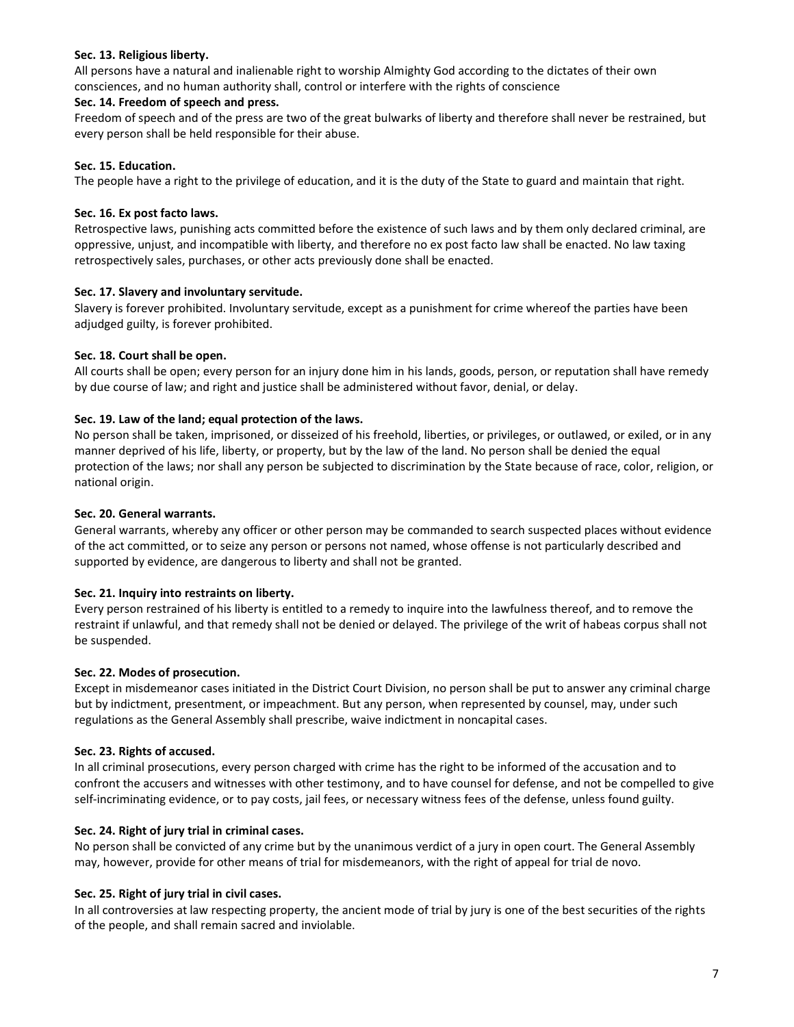#### **Sec. 13. Religious liberty.**

All persons have a natural and inalienable right to worship Almighty God according to the dictates of their own consciences, and no human authority shall, control or interfere with the rights of conscience

#### **Sec. 14. Freedom of speech and press.**

Freedom of speech and of the press are two of the great bulwarks of liberty and therefore shall never be restrained, but every person shall be held responsible for their abuse.

#### **Sec. 15. Education.**

The people have a right to the privilege of education, and it is the duty of the State to guard and maintain that right.

#### **Sec. 16. Ex post facto laws.**

Retrospective laws, punishing acts committed before the existence of such laws and by them only declared criminal, are oppressive, unjust, and incompatible with liberty, and therefore no ex post facto law shall be enacted. No law taxing retrospectively sales, purchases, or other acts previously done shall be enacted.

#### **Sec. 17. Slavery and involuntary servitude.**

Slavery is forever prohibited. Involuntary servitude, except as a punishment for crime whereof the parties have been adjudged guilty, is forever prohibited.

#### **Sec. 18. Court shall be open.**

All courts shall be open; every person for an injury done him in his lands, goods, person, or reputation shall have remedy by due course of law; and right and justice shall be administered without favor, denial, or delay.

#### **Sec. 19. Law of the land; equal protection of the laws.**

No person shall be taken, imprisoned, or disseized of his freehold, liberties, or privileges, or outlawed, or exiled, or in any manner deprived of his life, liberty, or property, but by the law of the land. No person shall be denied the equal protection of the laws; nor shall any person be subjected to discrimination by the State because of race, color, religion, or national origin.

#### **Sec. 20. General warrants.**

General warrants, whereby any officer or other person may be commanded to search suspected places without evidence of the act committed, or to seize any person or persons not named, whose offense is not particularly described and supported by evidence, are dangerous to liberty and shall not be granted.

#### **Sec. 21. Inquiry into restraints on liberty.**

Every person restrained of his liberty is entitled to a remedy to inquire into the lawfulness thereof, and to remove the restraint if unlawful, and that remedy shall not be denied or delayed. The privilege of the writ of habeas corpus shall not be suspended.

#### **Sec. 22. Modes of prosecution.**

Except in misdemeanor cases initiated in the District Court Division, no person shall be put to answer any criminal charge but by indictment, presentment, or impeachment. But any person, when represented by counsel, may, under such regulations as the General Assembly shall prescribe, waive indictment in noncapital cases.

#### **Sec. 23. Rights of accused.**

In all criminal prosecutions, every person charged with crime has the right to be informed of the accusation and to confront the accusers and witnesses with other testimony, and to have counsel for defense, and not be compelled to give self-incriminating evidence, or to pay costs, jail fees, or necessary witness fees of the defense, unless found guilty.

#### **Sec. 24. Right of jury trial in criminal cases.**

No person shall be convicted of any crime but by the unanimous verdict of a jury in open court. The General Assembly may, however, provide for other means of trial for misdemeanors, with the right of appeal for trial de novo.

#### **Sec. 25. Right of jury trial in civil cases.**

In all controversies at law respecting property, the ancient mode of trial by jury is one of the best securities of the rights of the people, and shall remain sacred and inviolable.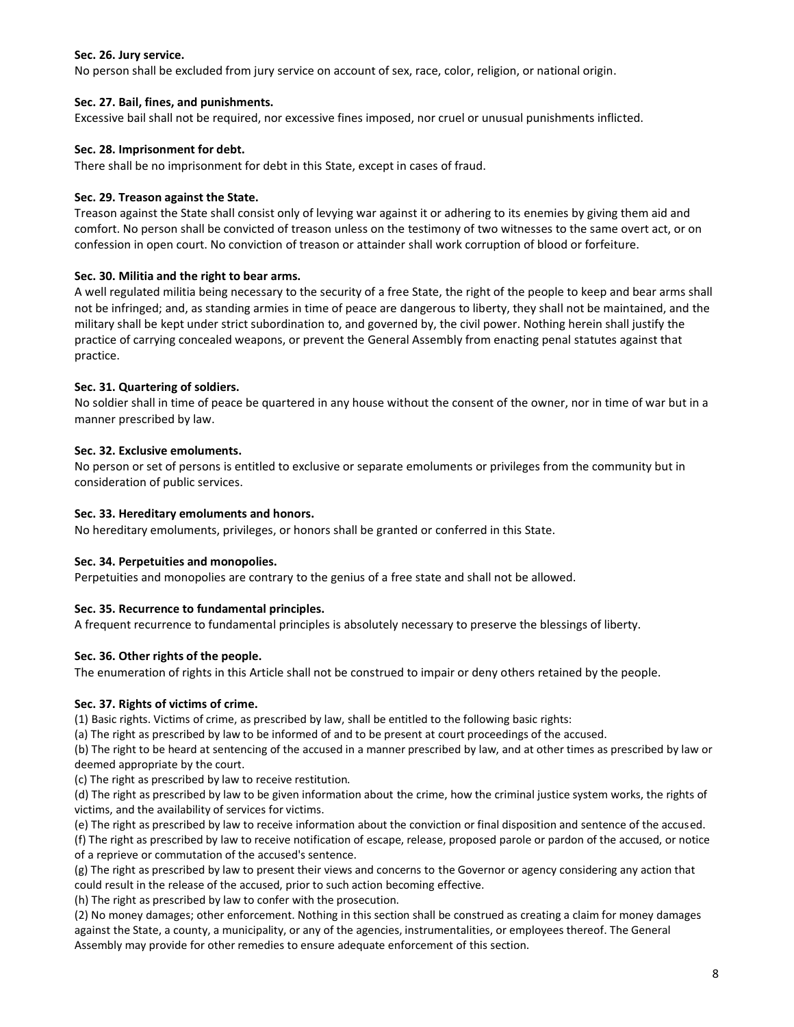#### **Sec. 26. Jury service.**

No person shall be excluded from jury service on account of sex, race, color, religion, or national origin.

#### **Sec. 27. Bail, fines, and punishments.**

Excessive bail shall not be required, nor excessive fines imposed, nor cruel or unusual punishments inflicted.

#### **Sec. 28. Imprisonment for debt.**

There shall be no imprisonment for debt in this State, except in cases of fraud.

#### **Sec. 29. Treason against the State.**

Treason against the State shall consist only of levying war against it or adhering to its enemies by giving them aid and comfort. No person shall be convicted of treason unless on the testimony of two witnesses to the same overt act, or on confession in open court. No conviction of treason or attainder shall work corruption of blood or forfeiture.

#### **Sec. 30. Militia and the right to bear arms.**

A well regulated militia being necessary to the security of a free State, the right of the people to keep and bear arms shall not be infringed; and, as standing armies in time of peace are dangerous to liberty, they shall not be maintained, and the military shall be kept under strict subordination to, and governed by, the civil power. Nothing herein shall justify the practice of carrying concealed weapons, or prevent the General Assembly from enacting penal statutes against that practice.

#### **Sec. 31. Quartering of soldiers.**

No soldier shall in time of peace be quartered in any house without the consent of the owner, nor in time of war but in a manner prescribed by law.

#### **Sec. 32. Exclusive emoluments.**

No person or set of persons is entitled to exclusive or separate emoluments or privileges from the community but in consideration of public services.

#### **Sec. 33. Hereditary emoluments and honors.**

No hereditary emoluments, privileges, or honors shall be granted or conferred in this State.

#### **Sec. 34. Perpetuities and monopolies.**

Perpetuities and monopolies are contrary to the genius of a free state and shall not be allowed.

#### **Sec. 35. Recurrence to fundamental principles.**

A frequent recurrence to fundamental principles is absolutely necessary to preserve the blessings of liberty.

#### **Sec. 36. Other rights of the people.**

The enumeration of rights in this Article shall not be construed to impair or deny others retained by the people.

#### **Sec. 37. Rights of victims of crime.**

(1) Basic rights. Victims of crime, as prescribed by law, shall be entitled to the following basic rights:

(a) The right as prescribed by law to be informed of and to be present at court proceedings of the accused.

(b) The right to be heard at sentencing of the accused in a manner prescribed by law, and at other times as prescribed by law or deemed appropriate by the court.

(c) The right as prescribed by law to receive restitution.

(d) The right as prescribed by law to be given information about the crime, how the criminal justice system works, the rights of victims, and the availability of services for victims.

(e) The right as prescribed by law to receive information about the conviction or final disposition and sentence of the accused.

(f) The right as prescribed by law to receive notification of escape, release, proposed parole or pardon of the accused, or notice of a reprieve or commutation of the accused's sentence.

(g) The right as prescribed by law to present their views and concerns to the Governor or agency considering any action that could result in the release of the accused, prior to such action becoming effective.

(h) The right as prescribed by law to confer with the prosecution.

(2) No money damages; other enforcement. Nothing in this section shall be construed as creating a claim for money damages against the State, a county, a municipality, or any of the agencies, instrumentalities, or employees thereof. The General Assembly may provide for other remedies to ensure adequate enforcement of this section.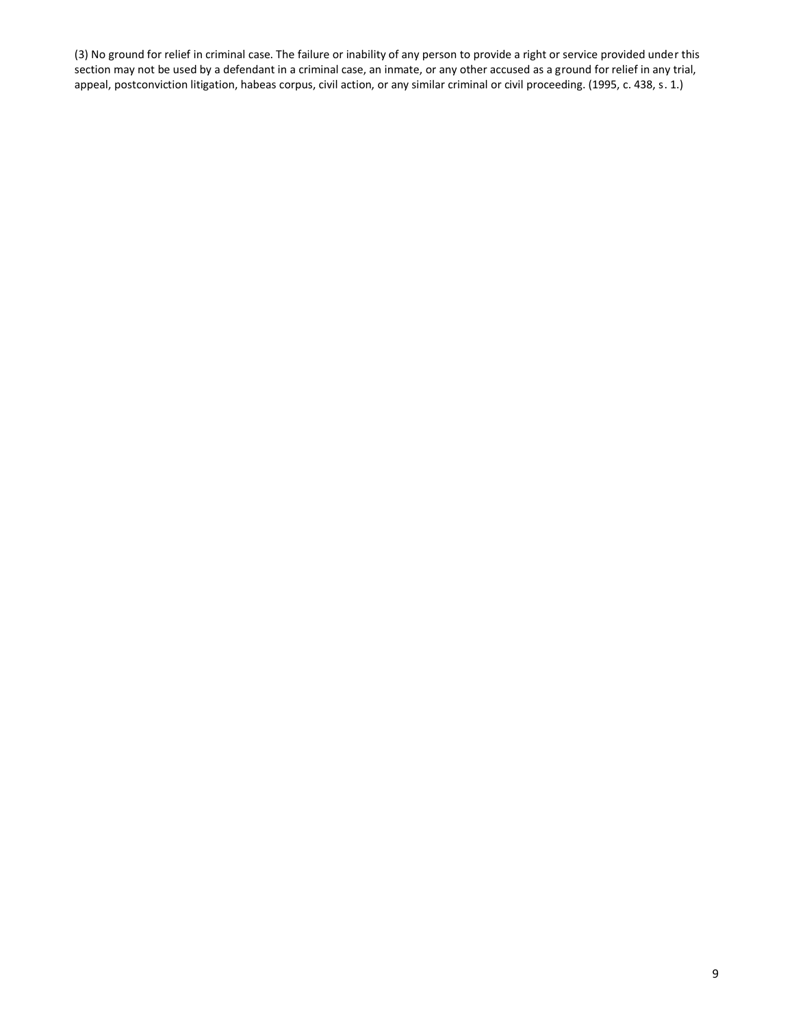(3) No ground for relief in criminal case. The failure or inability of any person to provide a right or service provided under this section may not be used by a defendant in a criminal case, an inmate, or any other accused as a ground for relief in any trial, appeal, postconviction litigation, habeas corpus, civil action, or any similar criminal or civil proceeding. (1995, c. 438, s. 1.)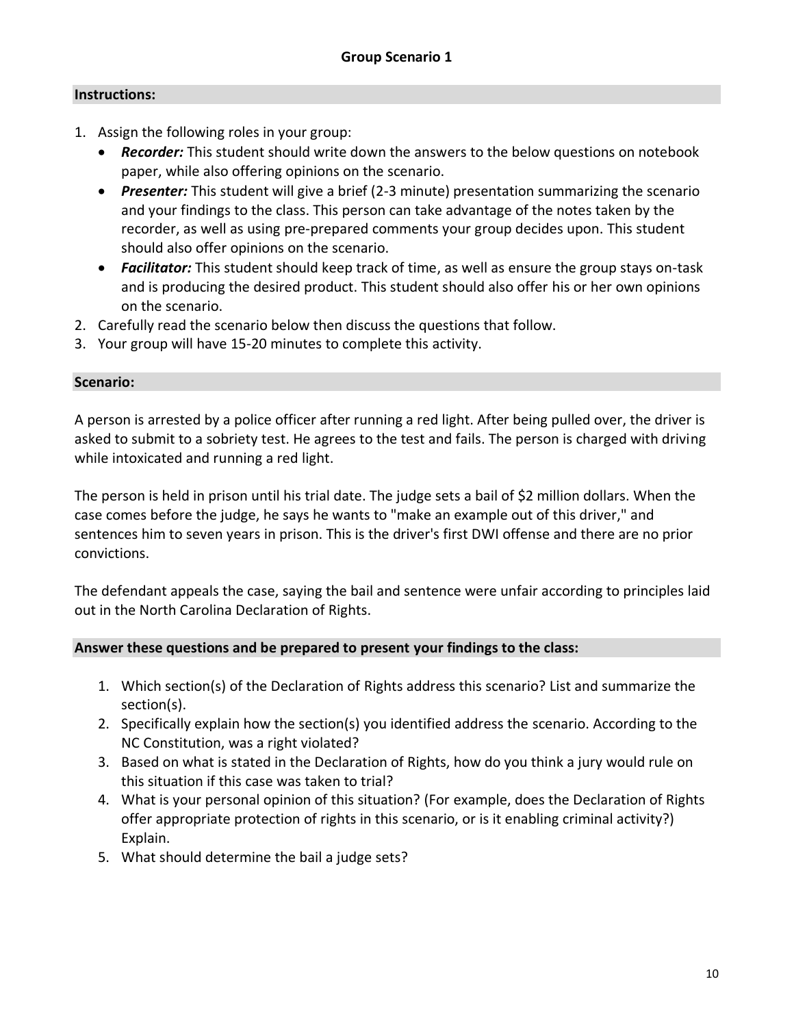- 1. Assign the following roles in your group:
	- *Recorder:* This student should write down the answers to the below questions on notebook paper, while also offering opinions on the scenario.
	- *Presenter:* This student will give a brief (2-3 minute) presentation summarizing the scenario and your findings to the class. This person can take advantage of the notes taken by the recorder, as well as using pre-prepared comments your group decides upon. This student should also offer opinions on the scenario.
	- *Facilitator:* This student should keep track of time, as well as ensure the group stays on-task and is producing the desired product. This student should also offer his or her own opinions on the scenario.
- 2. Carefully read the scenario below then discuss the questions that follow.
- 3. Your group will have 15-20 minutes to complete this activity.

# **Scenario:**

A person is arrested by a police officer after running a red light. After being pulled over, the driver is asked to submit to a sobriety test. He agrees to the test and fails. The person is charged with driving while intoxicated and running a red light.

The person is held in prison until his trial date. The judge sets a bail of \$2 million dollars. When the case comes before the judge, he says he wants to "make an example out of this driver," and sentences him to seven years in prison. This is the driver's first DWI offense and there are no prior convictions.

The defendant appeals the case, saying the bail and sentence were unfair according to principles laid out in the North Carolina Declaration of Rights.

- 1. Which section(s) of the Declaration of Rights address this scenario? List and summarize the section(s).
- 2. Specifically explain how the section(s) you identified address the scenario. According to the NC Constitution, was a right violated?
- 3. Based on what is stated in the Declaration of Rights, how do you think a jury would rule on this situation if this case was taken to trial?
- 4. What is your personal opinion of this situation? (For example, does the Declaration of Rights offer appropriate protection of rights in this scenario, or is it enabling criminal activity?) Explain.
- 5. What should determine the bail a judge sets?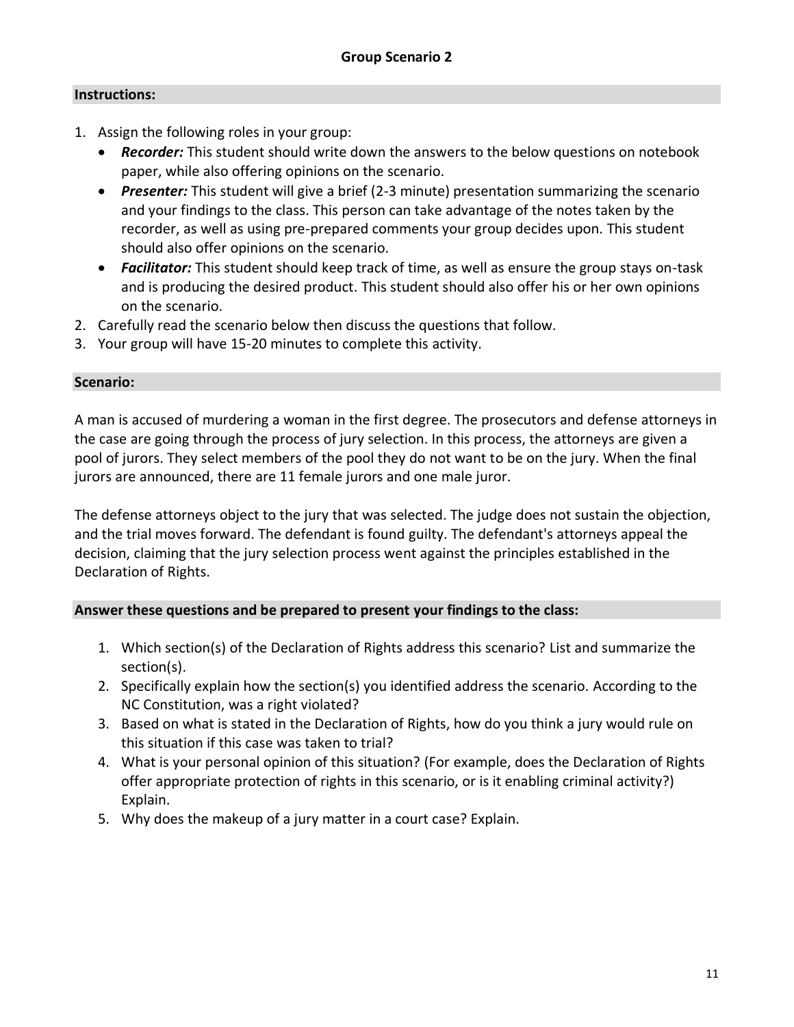- 1. Assign the following roles in your group:
	- *Recorder:* This student should write down the answers to the below questions on notebook paper, while also offering opinions on the scenario.
	- *Presenter:* This student will give a brief (2-3 minute) presentation summarizing the scenario and your findings to the class. This person can take advantage of the notes taken by the recorder, as well as using pre-prepared comments your group decides upon. This student should also offer opinions on the scenario.
	- *Facilitator:* This student should keep track of time, as well as ensure the group stays on-task and is producing the desired product. This student should also offer his or her own opinions on the scenario.
- 2. Carefully read the scenario below then discuss the questions that follow.
- 3. Your group will have 15-20 minutes to complete this activity.

# **Scenario:**

A man is accused of murdering a woman in the first degree. The prosecutors and defense attorneys in the case are going through the process of jury selection. In this process, the attorneys are given a pool of jurors. They select members of the pool they do not want to be on the jury. When the final jurors are announced, there are 11 female jurors and one male juror.

The defense attorneys object to the jury that was selected. The judge does not sustain the objection, and the trial moves forward. The defendant is found guilty. The defendant's attorneys appeal the decision, claiming that the jury selection process went against the principles established in the Declaration of Rights.

- 1. Which section(s) of the Declaration of Rights address this scenario? List and summarize the section(s).
- 2. Specifically explain how the section(s) you identified address the scenario. According to the NC Constitution, was a right violated?
- 3. Based on what is stated in the Declaration of Rights, how do you think a jury would rule on this situation if this case was taken to trial?
- 4. What is your personal opinion of this situation? (For example, does the Declaration of Rights offer appropriate protection of rights in this scenario, or is it enabling criminal activity?) Explain.
- 5. Why does the makeup of a jury matter in a court case? Explain.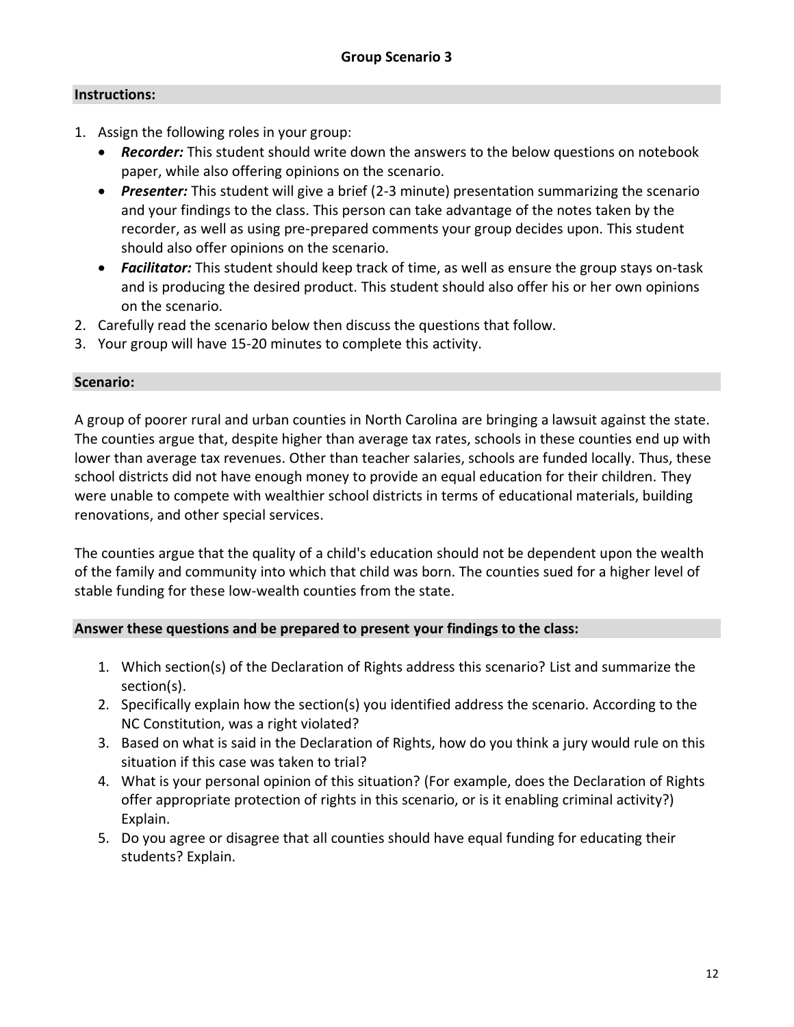- 1. Assign the following roles in your group:
	- *Recorder:* This student should write down the answers to the below questions on notebook paper, while also offering opinions on the scenario.
	- *Presenter:* This student will give a brief (2-3 minute) presentation summarizing the scenario and your findings to the class. This person can take advantage of the notes taken by the recorder, as well as using pre-prepared comments your group decides upon. This student should also offer opinions on the scenario.
	- *Facilitator:* This student should keep track of time, as well as ensure the group stays on-task and is producing the desired product. This student should also offer his or her own opinions on the scenario.
- 2. Carefully read the scenario below then discuss the questions that follow.
- 3. Your group will have 15-20 minutes to complete this activity.

# **Scenario:**

A group of poorer rural and urban counties in North Carolina are bringing a lawsuit against the state. The counties argue that, despite higher than average tax rates, schools in these counties end up with lower than average tax revenues. Other than teacher salaries, schools are funded locally. Thus, these school districts did not have enough money to provide an equal education for their children. They were unable to compete with wealthier school districts in terms of educational materials, building renovations, and other special services.

The counties argue that the quality of a child's education should not be dependent upon the wealth of the family and community into which that child was born. The counties sued for a higher level of stable funding for these low-wealth counties from the state.

- 1. Which section(s) of the Declaration of Rights address this scenario? List and summarize the section(s).
- 2. Specifically explain how the section(s) you identified address the scenario. According to the NC Constitution, was a right violated?
- 3. Based on what is said in the Declaration of Rights, how do you think a jury would rule on this situation if this case was taken to trial?
- 4. What is your personal opinion of this situation? (For example, does the Declaration of Rights offer appropriate protection of rights in this scenario, or is it enabling criminal activity?) Explain.
- 5. Do you agree or disagree that all counties should have equal funding for educating their students? Explain.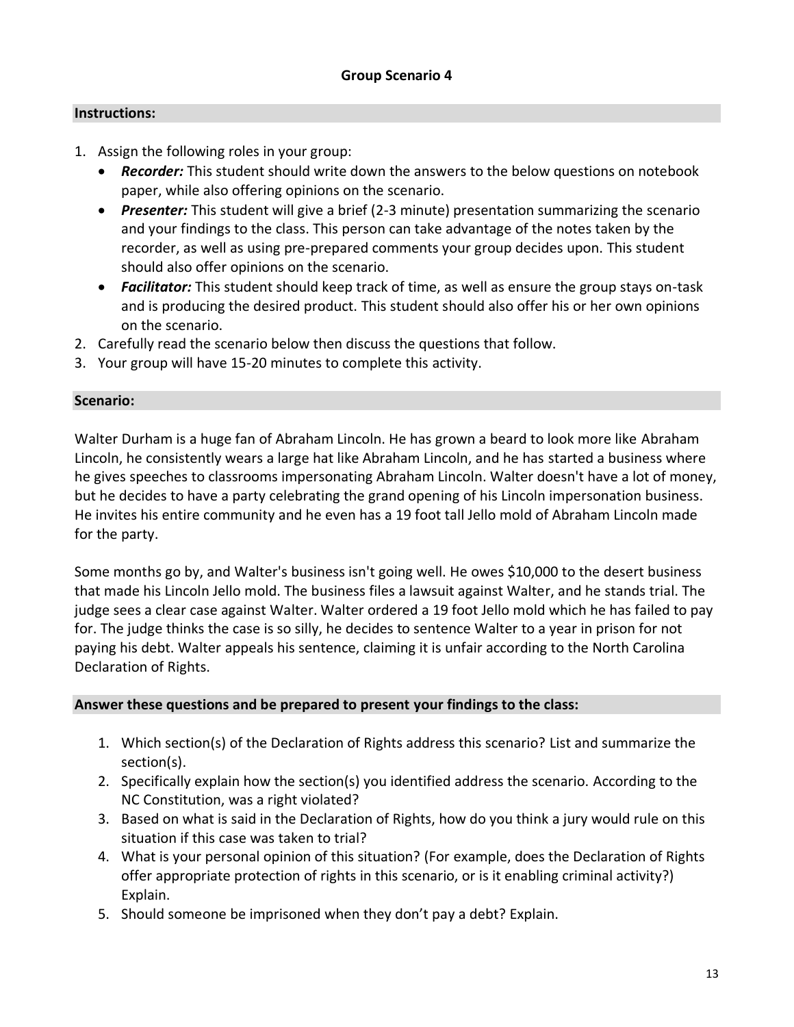- 1. Assign the following roles in your group:
	- *Recorder:* This student should write down the answers to the below questions on notebook paper, while also offering opinions on the scenario.
	- *Presenter:* This student will give a brief (2-3 minute) presentation summarizing the scenario and your findings to the class. This person can take advantage of the notes taken by the recorder, as well as using pre-prepared comments your group decides upon. This student should also offer opinions on the scenario.
	- *Facilitator:* This student should keep track of time, as well as ensure the group stays on-task and is producing the desired product. This student should also offer his or her own opinions on the scenario.
- 2. Carefully read the scenario below then discuss the questions that follow.
- 3. Your group will have 15-20 minutes to complete this activity.

## **Scenario:**

Walter Durham is a huge fan of Abraham Lincoln. He has grown a beard to look more like Abraham Lincoln, he consistently wears a large hat like Abraham Lincoln, and he has started a business where he gives speeches to classrooms impersonating Abraham Lincoln. Walter doesn't have a lot of money, but he decides to have a party celebrating the grand opening of his Lincoln impersonation business. He invites his entire community and he even has a 19 foot tall Jello mold of Abraham Lincoln made for the party.

Some months go by, and Walter's business isn't going well. He owes \$10,000 to the desert business that made his Lincoln Jello mold. The business files a lawsuit against Walter, and he stands trial. The judge sees a clear case against Walter. Walter ordered a 19 foot Jello mold which he has failed to pay for. The judge thinks the case is so silly, he decides to sentence Walter to a year in prison for not paying his debt. Walter appeals his sentence, claiming it is unfair according to the North Carolina Declaration of Rights.

- 1. Which section(s) of the Declaration of Rights address this scenario? List and summarize the section(s).
- 2. Specifically explain how the section(s) you identified address the scenario. According to the NC Constitution, was a right violated?
- 3. Based on what is said in the Declaration of Rights, how do you think a jury would rule on this situation if this case was taken to trial?
- 4. What is your personal opinion of this situation? (For example, does the Declaration of Rights offer appropriate protection of rights in this scenario, or is it enabling criminal activity?) Explain.
- 5. Should someone be imprisoned when they don't pay a debt? Explain.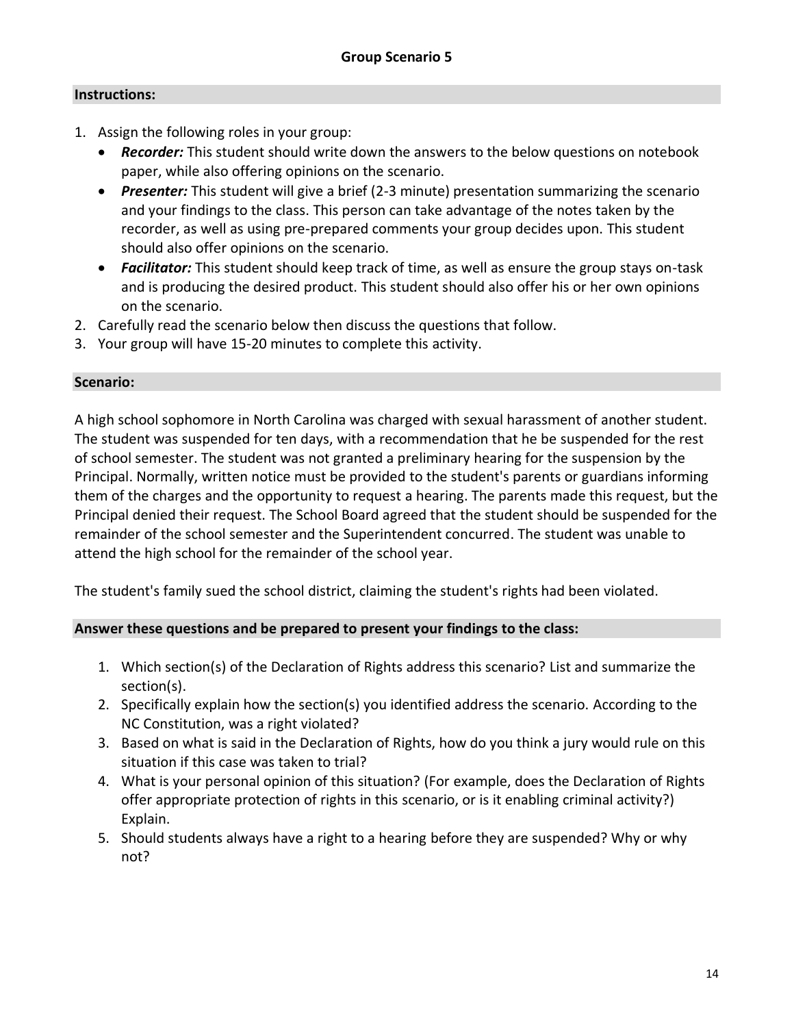- 1. Assign the following roles in your group:
	- *Recorder:* This student should write down the answers to the below questions on notebook paper, while also offering opinions on the scenario.
	- *Presenter:* This student will give a brief (2-3 minute) presentation summarizing the scenario and your findings to the class. This person can take advantage of the notes taken by the recorder, as well as using pre-prepared comments your group decides upon. This student should also offer opinions on the scenario.
	- *Facilitator:* This student should keep track of time, as well as ensure the group stays on-task and is producing the desired product. This student should also offer his or her own opinions on the scenario.
- 2. Carefully read the scenario below then discuss the questions that follow.
- 3. Your group will have 15-20 minutes to complete this activity.

# **Scenario:**

A high school sophomore in North Carolina was charged with sexual harassment of another student. The student was suspended for ten days, with a recommendation that he be suspended for the rest of school semester. The student was not granted a preliminary hearing for the suspension by the Principal. Normally, written notice must be provided to the student's parents or guardians informing them of the charges and the opportunity to request a hearing. The parents made this request, but the Principal denied their request. The School Board agreed that the student should be suspended for the remainder of the school semester and the Superintendent concurred. The student was unable to attend the high school for the remainder of the school year.

The student's family sued the school district, claiming the student's rights had been violated.

- 1. Which section(s) of the Declaration of Rights address this scenario? List and summarize the section(s).
- 2. Specifically explain how the section(s) you identified address the scenario. According to the NC Constitution, was a right violated?
- 3. Based on what is said in the Declaration of Rights, how do you think a jury would rule on this situation if this case was taken to trial?
- 4. What is your personal opinion of this situation? (For example, does the Declaration of Rights offer appropriate protection of rights in this scenario, or is it enabling criminal activity?) Explain.
- 5. Should students always have a right to a hearing before they are suspended? Why or why not?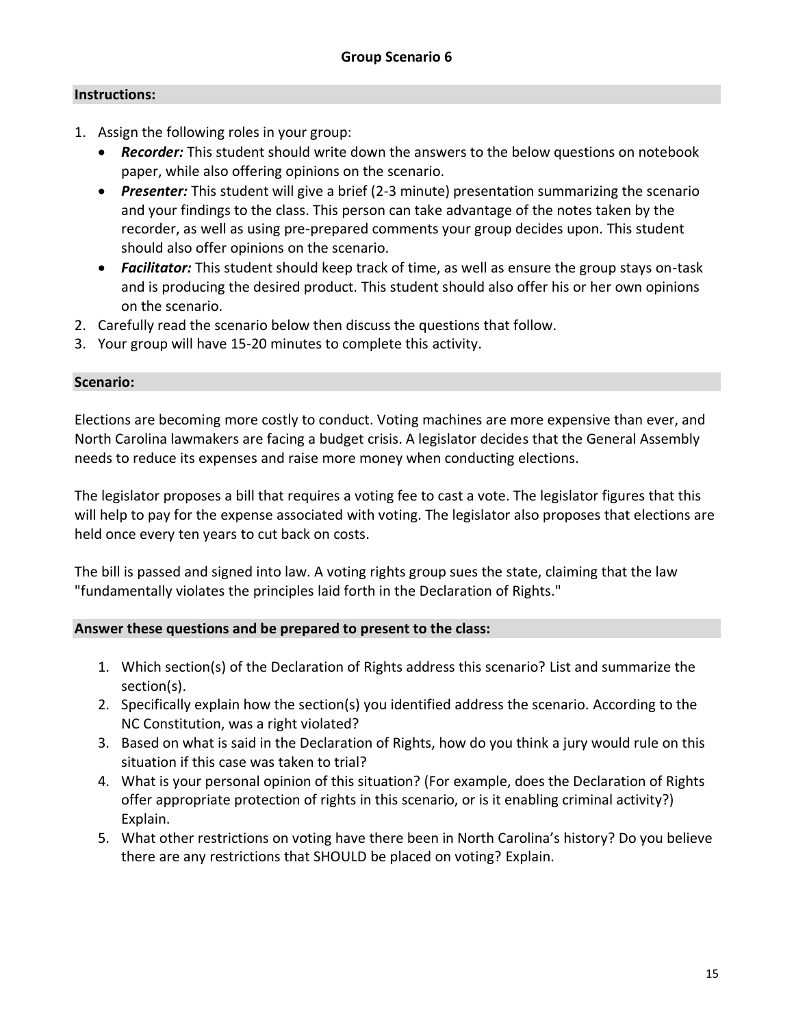- 1. Assign the following roles in your group:
	- *Recorder:* This student should write down the answers to the below questions on notebook paper, while also offering opinions on the scenario.
	- *Presenter:* This student will give a brief (2-3 minute) presentation summarizing the scenario and your findings to the class. This person can take advantage of the notes taken by the recorder, as well as using pre-prepared comments your group decides upon. This student should also offer opinions on the scenario.
	- *Facilitator:* This student should keep track of time, as well as ensure the group stays on-task and is producing the desired product. This student should also offer his or her own opinions on the scenario.
- 2. Carefully read the scenario below then discuss the questions that follow.
- 3. Your group will have 15-20 minutes to complete this activity.

# **Scenario:**

Elections are becoming more costly to conduct. Voting machines are more expensive than ever, and North Carolina lawmakers are facing a budget crisis. A legislator decides that the General Assembly needs to reduce its expenses and raise more money when conducting elections.

The legislator proposes a bill that requires a voting fee to cast a vote. The legislator figures that this will help to pay for the expense associated with voting. The legislator also proposes that elections are held once every ten years to cut back on costs.

The bill is passed and signed into law. A voting rights group sues the state, claiming that the law "fundamentally violates the principles laid forth in the Declaration of Rights."

# **Answer these questions and be prepared to present to the class:**

- 1. Which section(s) of the Declaration of Rights address this scenario? List and summarize the section(s).
- 2. Specifically explain how the section(s) you identified address the scenario. According to the NC Constitution, was a right violated?
- 3. Based on what is said in the Declaration of Rights, how do you think a jury would rule on this situation if this case was taken to trial?
- 4. What is your personal opinion of this situation? (For example, does the Declaration of Rights offer appropriate protection of rights in this scenario, or is it enabling criminal activity?) Explain.
- 5. What other restrictions on voting have there been in North Carolina's history? Do you believe there are any restrictions that SHOULD be placed on voting? Explain.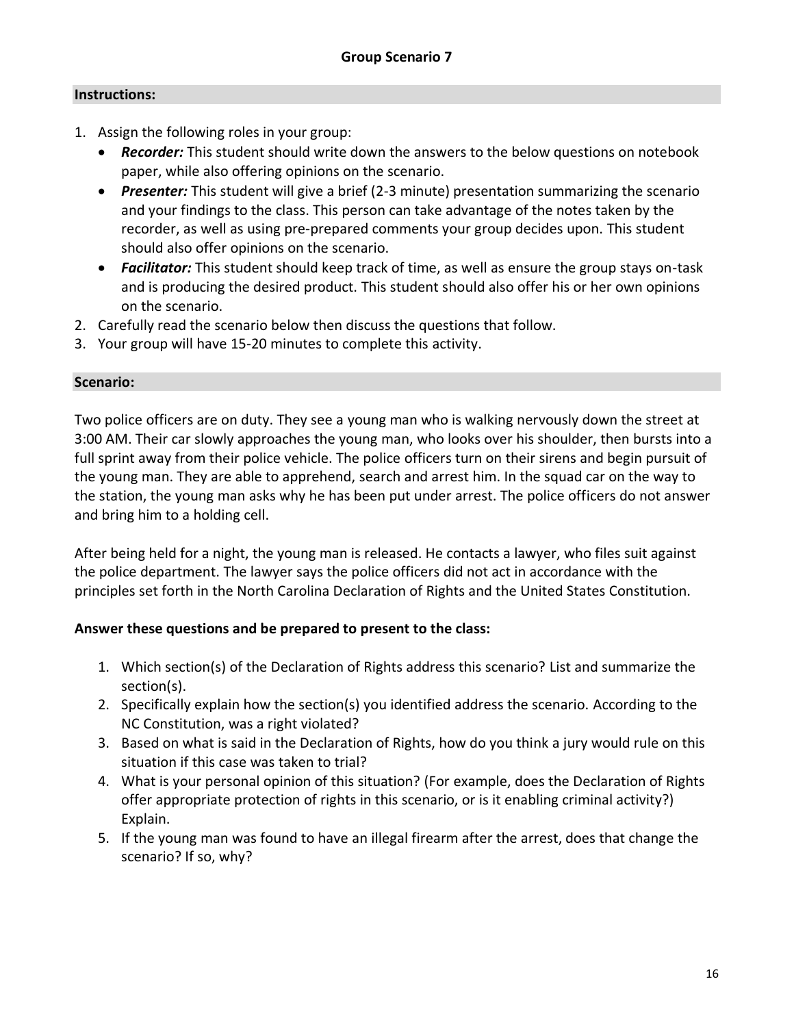- 1. Assign the following roles in your group:
	- *Recorder:* This student should write down the answers to the below questions on notebook paper, while also offering opinions on the scenario.
	- *Presenter:* This student will give a brief (2-3 minute) presentation summarizing the scenario and your findings to the class. This person can take advantage of the notes taken by the recorder, as well as using pre-prepared comments your group decides upon. This student should also offer opinions on the scenario.
	- *Facilitator:* This student should keep track of time, as well as ensure the group stays on-task and is producing the desired product. This student should also offer his or her own opinions on the scenario.
- 2. Carefully read the scenario below then discuss the questions that follow.
- 3. Your group will have 15-20 minutes to complete this activity.

# **Scenario:**

Two police officers are on duty. They see a young man who is walking nervously down the street at 3:00 AM. Their car slowly approaches the young man, who looks over his shoulder, then bursts into a full sprint away from their police vehicle. The police officers turn on their sirens and begin pursuit of the young man. They are able to apprehend, search and arrest him. In the squad car on the way to the station, the young man asks why he has been put under arrest. The police officers do not answer and bring him to a holding cell.

After being held for a night, the young man is released. He contacts a lawyer, who files suit against the police department. The lawyer says the police officers did not act in accordance with the principles set forth in the North Carolina Declaration of Rights and the United States Constitution.

# **Answer these questions and be prepared to present to the class:**

- 1. Which section(s) of the Declaration of Rights address this scenario? List and summarize the section(s).
- 2. Specifically explain how the section(s) you identified address the scenario. According to the NC Constitution, was a right violated?
- 3. Based on what is said in the Declaration of Rights, how do you think a jury would rule on this situation if this case was taken to trial?
- 4. What is your personal opinion of this situation? (For example, does the Declaration of Rights offer appropriate protection of rights in this scenario, or is it enabling criminal activity?) Explain.
- 5. If the young man was found to have an illegal firearm after the arrest, does that change the scenario? If so, why?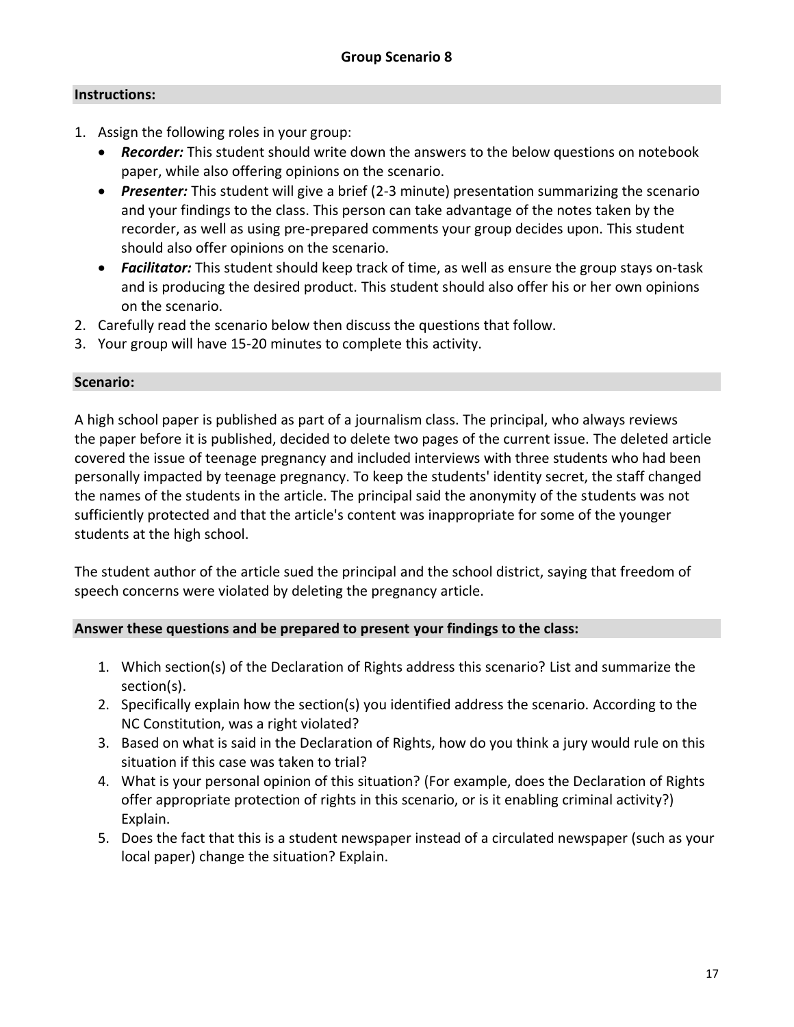- 1. Assign the following roles in your group:
	- *Recorder:* This student should write down the answers to the below questions on notebook paper, while also offering opinions on the scenario.
	- *Presenter:* This student will give a brief (2-3 minute) presentation summarizing the scenario and your findings to the class. This person can take advantage of the notes taken by the recorder, as well as using pre-prepared comments your group decides upon. This student should also offer opinions on the scenario.
	- *Facilitator:* This student should keep track of time, as well as ensure the group stays on-task and is producing the desired product. This student should also offer his or her own opinions on the scenario.
- 2. Carefully read the scenario below then discuss the questions that follow.
- 3. Your group will have 15-20 minutes to complete this activity.

# **Scenario:**

A high school paper is published as part of a journalism class. The principal, who always reviews the paper before it is published, decided to delete two pages of the current issue. The deleted article covered the issue of teenage pregnancy and included interviews with three students who had been personally impacted by teenage pregnancy. To keep the students' identity secret, the staff changed the names of the students in the article. The principal said the anonymity of the students was not sufficiently protected and that the article's content was inappropriate for some of the younger students at the high school.

The student author of the article sued the principal and the school district, saying that freedom of speech concerns were violated by deleting the pregnancy article.

- 1. Which section(s) of the Declaration of Rights address this scenario? List and summarize the section(s).
- 2. Specifically explain how the section(s) you identified address the scenario. According to the NC Constitution, was a right violated?
- 3. Based on what is said in the Declaration of Rights, how do you think a jury would rule on this situation if this case was taken to trial?
- 4. What is your personal opinion of this situation? (For example, does the Declaration of Rights offer appropriate protection of rights in this scenario, or is it enabling criminal activity?) Explain.
- 5. Does the fact that this is a student newspaper instead of a circulated newspaper (such as your local paper) change the situation? Explain.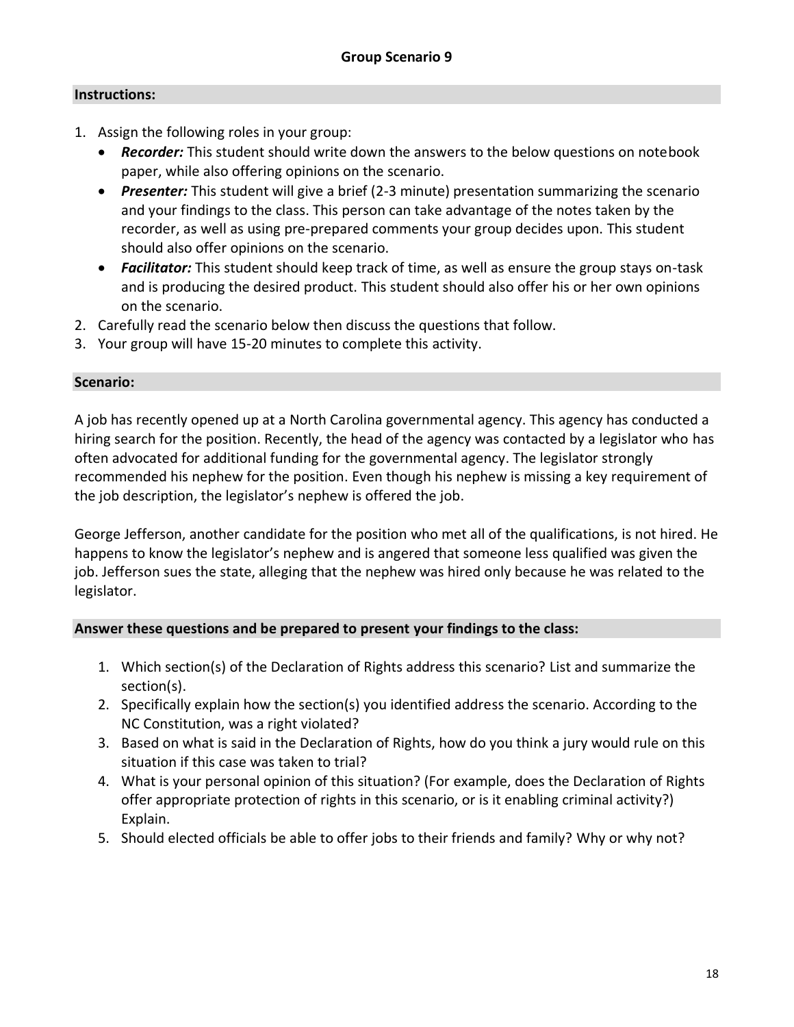- 1. Assign the following roles in your group:
	- *Recorder:* This student should write down the answers to the below questions on notebook paper, while also offering opinions on the scenario.
	- *Presenter:* This student will give a brief (2-3 minute) presentation summarizing the scenario and your findings to the class. This person can take advantage of the notes taken by the recorder, as well as using pre-prepared comments your group decides upon. This student should also offer opinions on the scenario.
	- *Facilitator:* This student should keep track of time, as well as ensure the group stays on-task and is producing the desired product. This student should also offer his or her own opinions on the scenario.
- 2. Carefully read the scenario below then discuss the questions that follow.
- 3. Your group will have 15-20 minutes to complete this activity.

# **Scenario:**

A job has recently opened up at a North Carolina governmental agency. This agency has conducted a hiring search for the position. Recently, the head of the agency was contacted by a legislator who has often advocated for additional funding for the governmental agency. The legislator strongly recommended his nephew for the position. Even though his nephew is missing a key requirement of the job description, the legislator's nephew is offered the job.

George Jefferson, another candidate for the position who met all of the qualifications, is not hired. He happens to know the legislator's nephew and is angered that someone less qualified was given the job. Jefferson sues the state, alleging that the nephew was hired only because he was related to the legislator.

- 1. Which section(s) of the Declaration of Rights address this scenario? List and summarize the section(s).
- 2. Specifically explain how the section(s) you identified address the scenario. According to the NC Constitution, was a right violated?
- 3. Based on what is said in the Declaration of Rights, how do you think a jury would rule on this situation if this case was taken to trial?
- 4. What is your personal opinion of this situation? (For example, does the Declaration of Rights offer appropriate protection of rights in this scenario, or is it enabling criminal activity?) Explain.
- 5. Should elected officials be able to offer jobs to their friends and family? Why or why not?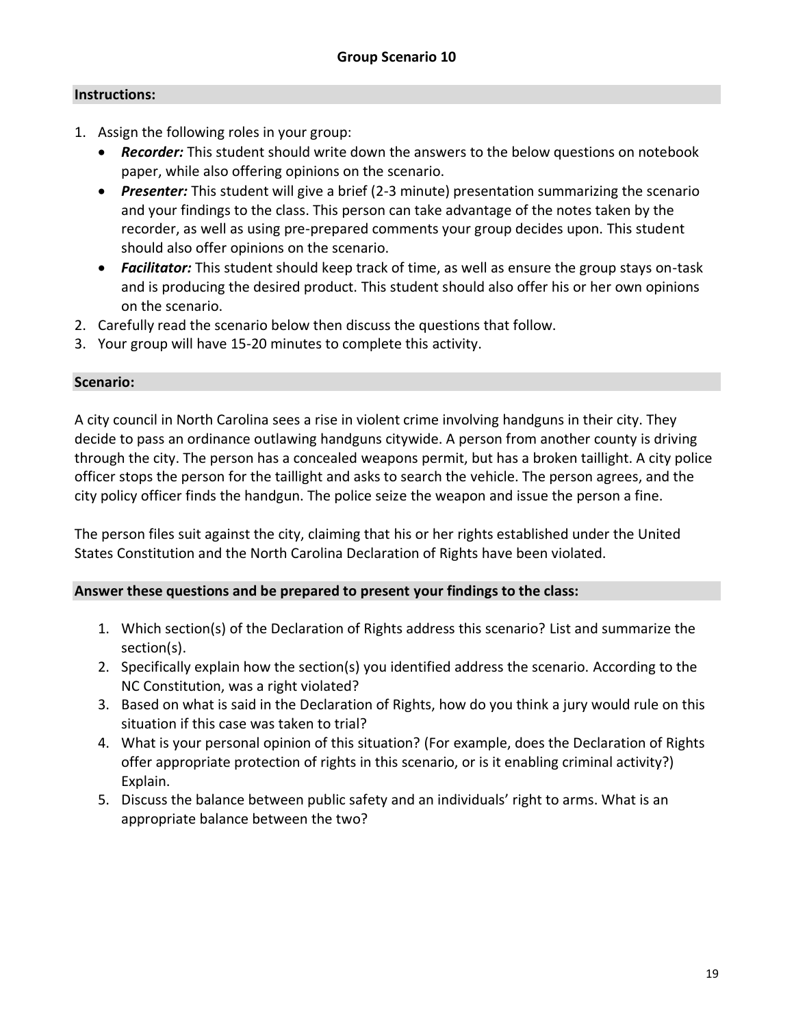- 1. Assign the following roles in your group:
	- *Recorder:* This student should write down the answers to the below questions on notebook paper, while also offering opinions on the scenario.
	- *Presenter:* This student will give a brief (2-3 minute) presentation summarizing the scenario and your findings to the class. This person can take advantage of the notes taken by the recorder, as well as using pre-prepared comments your group decides upon. This student should also offer opinions on the scenario.
	- *Facilitator:* This student should keep track of time, as well as ensure the group stays on-task and is producing the desired product. This student should also offer his or her own opinions on the scenario.
- 2. Carefully read the scenario below then discuss the questions that follow.
- 3. Your group will have 15-20 minutes to complete this activity.

# **Scenario:**

A city council in North Carolina sees a rise in violent crime involving handguns in their city. They decide to pass an ordinance outlawing handguns citywide. A person from another county is driving through the city. The person has a concealed weapons permit, but has a broken taillight. A city police officer stops the person for the taillight and asks to search the vehicle. The person agrees, and the city policy officer finds the handgun. The police seize the weapon and issue the person a fine.

The person files suit against the city, claiming that his or her rights established under the United States Constitution and the North Carolina Declaration of Rights have been violated.

- 1. Which section(s) of the Declaration of Rights address this scenario? List and summarize the section(s).
- 2. Specifically explain how the section(s) you identified address the scenario. According to the NC Constitution, was a right violated?
- 3. Based on what is said in the Declaration of Rights, how do you think a jury would rule on this situation if this case was taken to trial?
- 4. What is your personal opinion of this situation? (For example, does the Declaration of Rights offer appropriate protection of rights in this scenario, or is it enabling criminal activity?) Explain.
- 5. Discuss the balance between public safety and an individuals' right to arms. What is an appropriate balance between the two?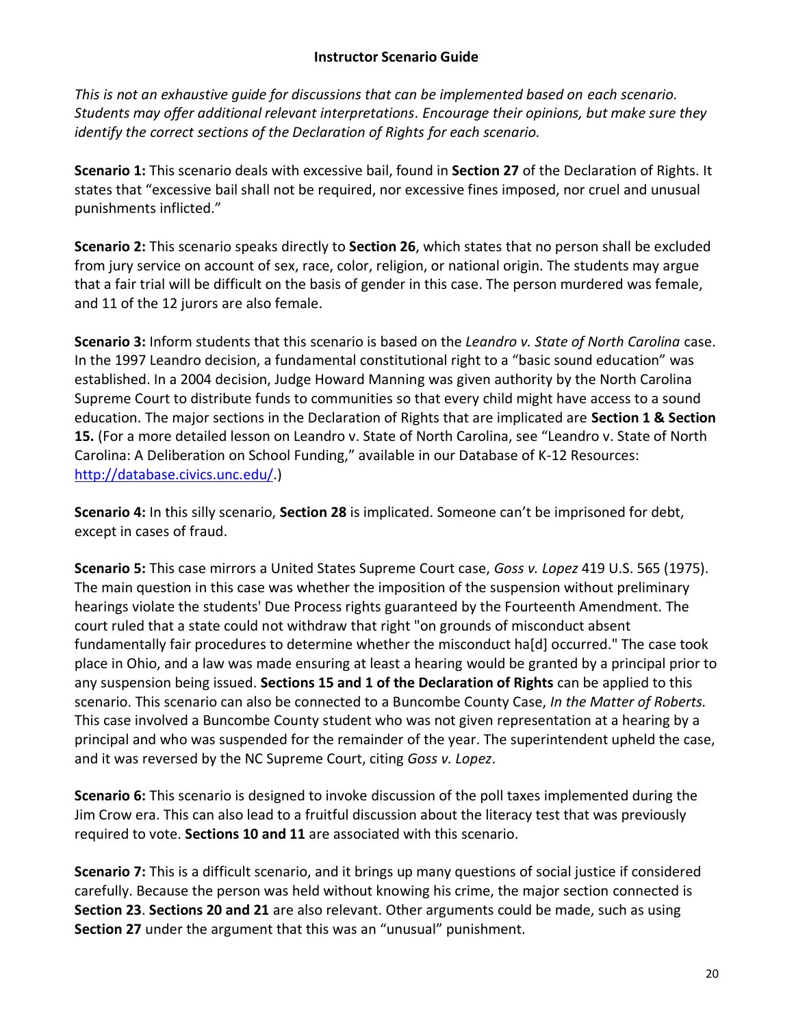## **Instructor Scenario Guide**

*This is not an exhaustive guide for discussions that can be implemented based on each scenario. Students may offer additional relevant interpretations. Encourage their opinions, but make sure they identify the correct sections of the Declaration of Rights for each scenario.*

**Scenario 1:** This scenario deals with excessive bail, found in **Section 27** of the Declaration of Rights. It states that "excessive bail shall not be required, nor excessive fines imposed, nor cruel and unusual punishments inflicted."

**Scenario 2:** This scenario speaks directly to **Section 26**, which states that no person shall be excluded from jury service on account of sex, race, color, religion, or national origin. The students may argue that a fair trial will be difficult on the basis of gender in this case. The person murdered was female, and 11 of the 12 jurors are also female.

**Scenario 3:** Inform students that this scenario is based on the *Leandro v. State of North Carolina* case. In the 1997 Leandro decision, a fundamental constitutional right to a "basic sound education" was established. In a 2004 decision, Judge Howard Manning was given authority by the North Carolina Supreme Court to distribute funds to communities so that every child might have access to a sound education. The major sections in the Declaration of Rights that are implicated are **Section 1 & Section 15.** (For a more detailed lesson on Leandro v. State of North Carolina, see "Leandro v. State of North Carolina: A Deliberation on School Funding," available in our Database of K-12 Resources: [http://database.civics.unc.edu/.](http://database.civics.unc.edu/))

**Scenario 4:** In this silly scenario, **Section 28** is implicated. Someone can't be imprisoned for debt, except in cases of fraud.

**Scenario 5:** This case mirrors a United States Supreme Court case, *Goss v. Lopez* 419 U.S. 565 (1975). The main question in this case was whether the imposition of the suspension without preliminary hearings violate the students' Due Process rights guaranteed by the Fourteenth Amendment. The court ruled that a state could not withdraw that right "on grounds of misconduct absent fundamentally fair procedures to determine whether the misconduct ha[d] occurred." The case took place in Ohio, and a law was made ensuring at least a hearing would be granted by a principal prior to any suspension being issued. **Sections 15 and 1 of the Declaration of Rights** can be applied to this scenario. This scenario can also be connected to a Buncombe County Case, *In the Matter of Roberts.*  This case involved a Buncombe County student who was not given representation at a hearing by a principal and who was suspended for the remainder of the year. The superintendent upheld the case, and it was reversed by the NC Supreme Court, citing *Goss v. Lopez*.

**Scenario 6:** This scenario is designed to invoke discussion of the poll taxes implemented during the Jim Crow era. This can also lead to a fruitful discussion about the literacy test that was previously required to vote. **Sections 10 and 11** are associated with this scenario.

**Scenario 7:** This is a difficult scenario, and it brings up many questions of social justice if considered carefully. Because the person was held without knowing his crime, the major section connected is **Section 23**. **Sections 20 and 21** are also relevant. Other arguments could be made, such as using **Section 27** under the argument that this was an "unusual" punishment.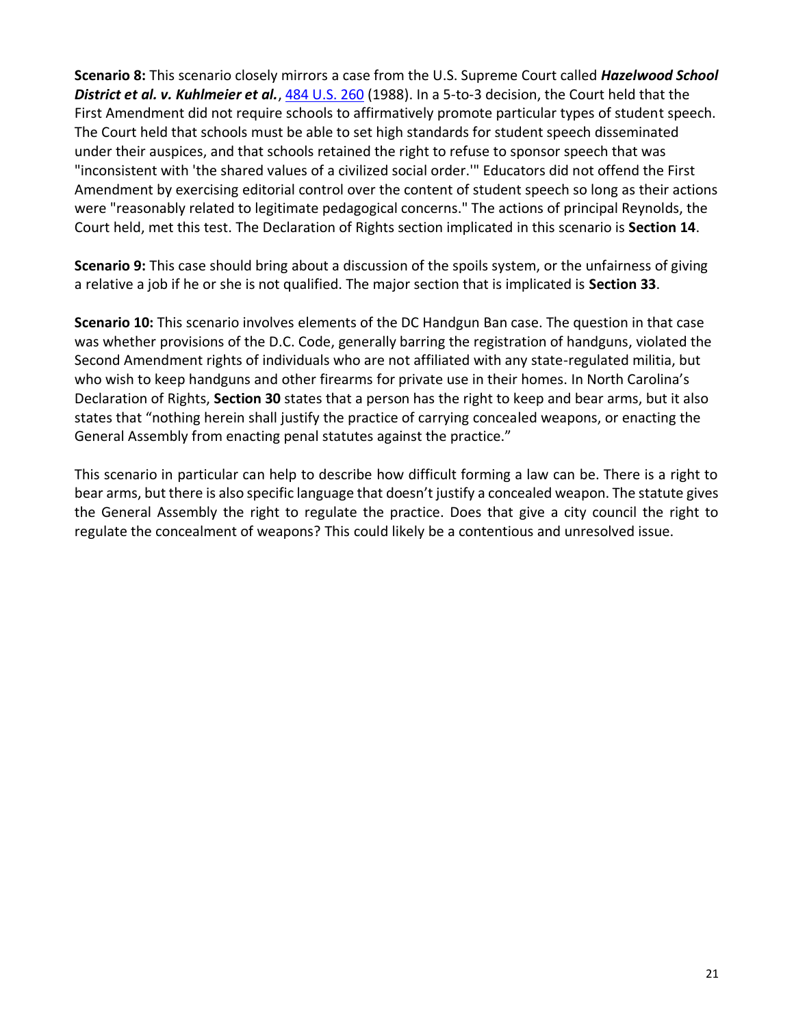**Scenario 8:** This scenario closely mirrors a case from the U.S. Supreme Court called *Hazelwood School District et al. v. Kuhlmeier et al.*, [484 U.S. 260](http://supreme.justia.com/us/484/260/case.html) (1988). In a 5-to-3 decision, the Court held that the First Amendment did not require schools to affirmatively promote particular types of student speech. The Court held that schools must be able to set high standards for student speech disseminated under their auspices, and that schools retained the right to refuse to sponsor speech that was "inconsistent with 'the shared values of a civilized social order.'" Educators did not offend the First Amendment by exercising editorial control over the content of student speech so long as their actions were "reasonably related to legitimate pedagogical concerns." The actions of principal Reynolds, the Court held, met this test. The Declaration of Rights section implicated in this scenario is **Section 14**.

**Scenario 9:** This case should bring about a discussion of the spoils system, or the unfairness of giving a relative a job if he or she is not qualified. The major section that is implicated is **Section 33**.

**Scenario 10:** This scenario involves elements of the DC Handgun Ban case. The question in that case was whether provisions of the D.C. Code, generally barring the registration of handguns, violated the Second Amendment rights of individuals who are not affiliated with any state-regulated militia, but who wish to keep handguns and other firearms for private use in their homes. In North Carolina's Declaration of Rights, **Section 30** states that a person has the right to keep and bear arms, but it also states that "nothing herein shall justify the practice of carrying concealed weapons, or enacting the General Assembly from enacting penal statutes against the practice."

This scenario in particular can help to describe how difficult forming a law can be. There is a right to bear arms, but there is also specific language that doesn't justify a concealed weapon. The statute gives the General Assembly the right to regulate the practice. Does that give a city council the right to regulate the concealment of weapons? This could likely be a contentious and unresolved issue.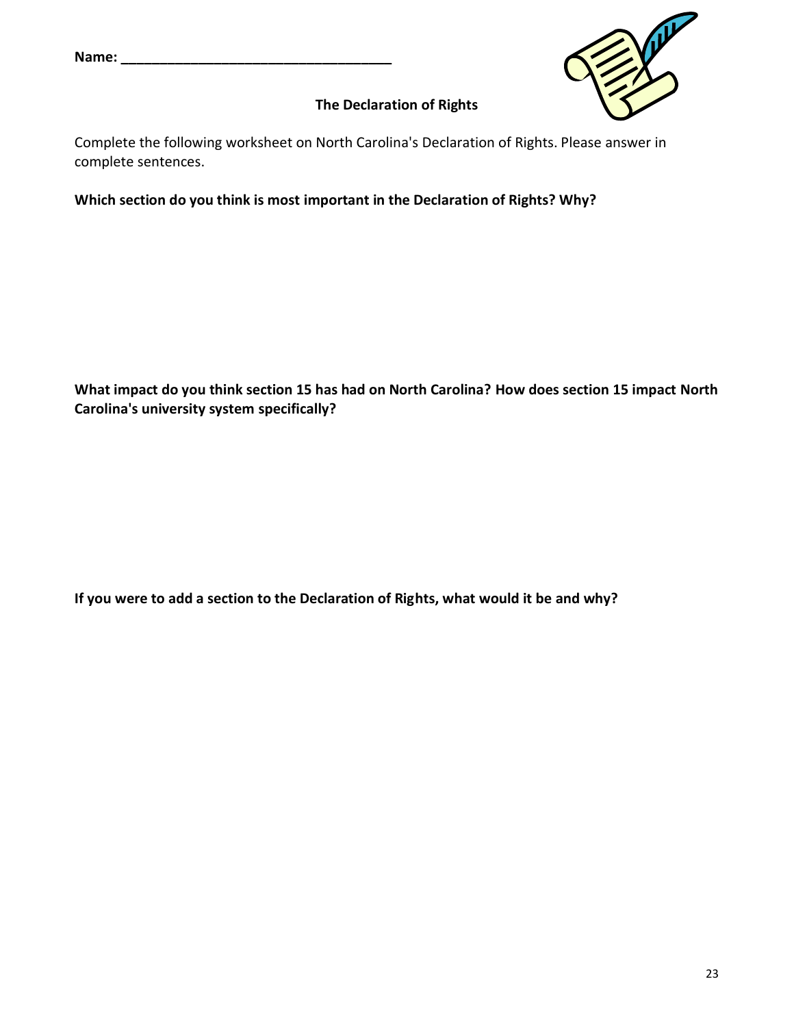

# **The Declaration of Rights**

Complete the following worksheet on North Carolina's Declaration of Rights. Please answer in complete sentences.

**Which section do you think is most important in the Declaration of Rights? Why?**

**What impact do you think section 15 has had on North Carolina? How does section 15 impact North Carolina's university system specifically?**

**If you were to add a section to the Declaration of Rights, what would it be and why?**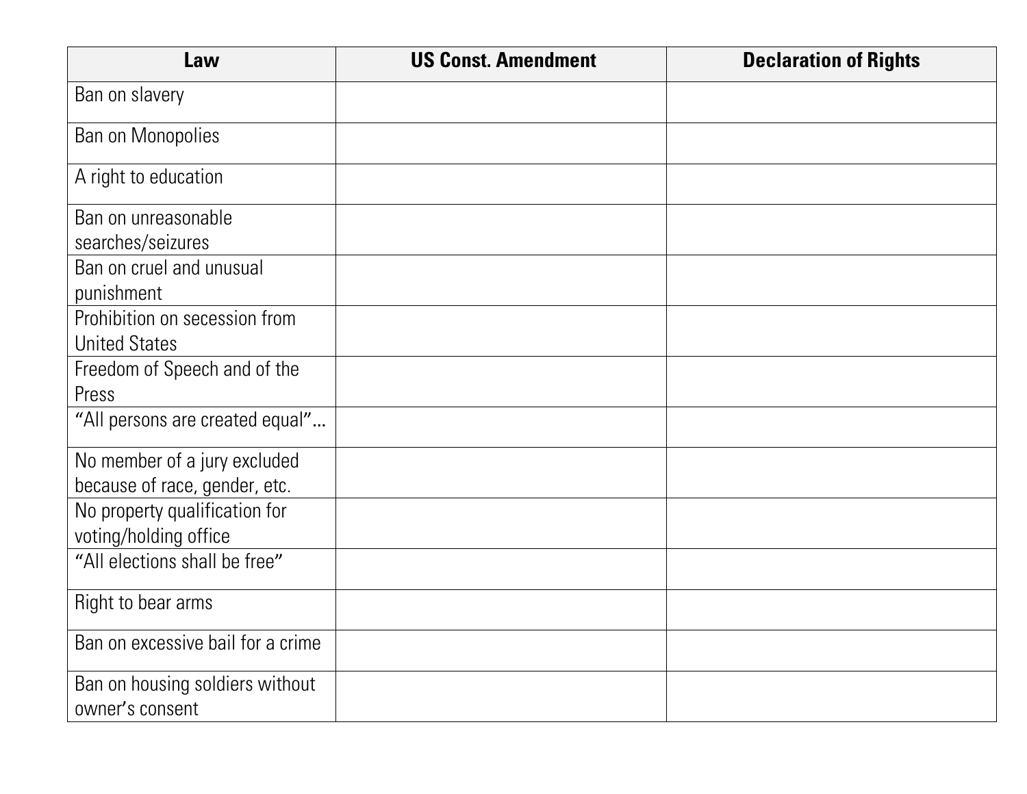| Law                               | <b>US Const. Amendment</b> | <b>Declaration of Rights</b> |
|-----------------------------------|----------------------------|------------------------------|
| Ban on slavery                    |                            |                              |
| <b>Ban on Monopolies</b>          |                            |                              |
| A right to education              |                            |                              |
| Ban on unreasonable               |                            |                              |
| searches/seizures                 |                            |                              |
| Ban on cruel and unusual          |                            |                              |
| punishment                        |                            |                              |
| Prohibition on secession from     |                            |                              |
| <b>United States</b>              |                            |                              |
| Freedom of Speech and of the      |                            |                              |
| Press                             |                            |                              |
| "All persons are created equal"   |                            |                              |
| No member of a jury excluded      |                            |                              |
| because of race, gender, etc.     |                            |                              |
| No property qualification for     |                            |                              |
| voting/holding office             |                            |                              |
| "All elections shall be free"     |                            |                              |
| Right to bear arms                |                            |                              |
| Ban on excessive bail for a crime |                            |                              |
| Ban on housing soldiers without   |                            |                              |
| owner's consent                   |                            |                              |